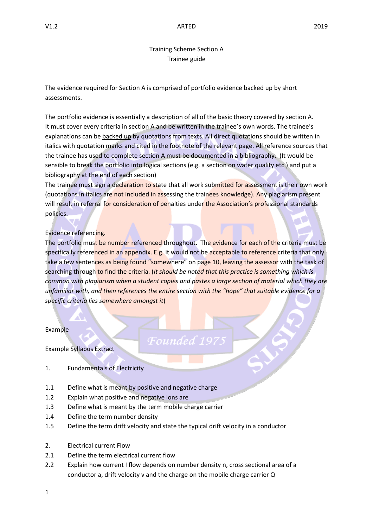## Training Scheme Section A Trainee guide

The evidence required for Section A is comprised of portfolio evidence backed up by short assessments.

The portfolio evidence is essentially a description of all of the basic theory covered by section A. It must cover every criteria in section A and be written in the trainee's own words. The trainee's explanations can be backed up by quotations from texts. All direct quotations should be written in italics with quotation marks and cited in the footnote of the relevant page. All reference sources that the trainee has used to complete section A must be documented in a bibliography. (It would be sensible to break the portfolio into logical sections (e.g. a section on water quality etc.) and put a bibliography at the end of each section)

The trainee must sign a declaration to state that all work submitted for assessment is their own work (quotations in italics are not included in assessing the trainees knowledge). Any plagiarism present will result in referral for consideration of penalties under the Association's professional standards policies.

### Evidence referencing.

The portfolio must be number referenced throughout. The evidence for each of the criteria must be specifically referenced in an appendix. E.g. it would not be acceptable to reference criteria that only take a few sentences as being found "somewhere" on page 10, leaving the assessor with the task of searching through to find the criteria. (*It should be noted that this practice is something which is common with plagiarism when a student copies and pastes a large section of material which they are unfamiliar with, and then references the entire section with the "hope" that suitable evidence for a specific criteria lies somewhere amongst it*)

*Founded* 19

Example

Example Syllabus Extract

- 1. Fundamentals of Electricity
- 1.1 Define what is meant by positive and negative charge
- 1.2 Explain what positive and negative ions are
- 1.3 Define what is meant by the term mobile charge carrier
- 1.4 Define the term number density
- 1.5 Define the term drift velocity and state the typical drift velocity in a conductor
- 2. Electrical current Flow
- 2.1 Define the term electrical current flow
- 2.2 Explain how current I flow depends on number density n, cross sectional area of a conductor a, drift velocity v and the charge on the mobile charge carrier Q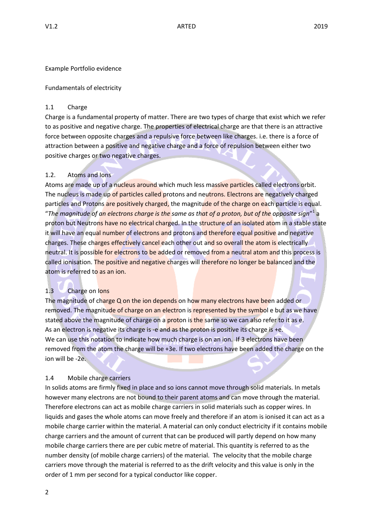### Example Portfolio evidence

## Fundamentals of electricity

## 1.1 Charge

Charge is a fundamental property of matter. There are two types of charge that exist which we refer to as positive and negative charge. The properties of electrical charge are that there is an attractive force between opposite charges and a repulsive force between like charges. i.e. there is a force of attraction between a positive and negative charge and a force of repulsion between either two positive charges or two negative charges.

# 1.2. Atoms and Ions

Atoms are made up of a nucleus around which much less massive particles called electrons orbit. The nucleus is made up of particles called protons and neutrons. Electrons are negatively charged particles and Protons are positively charged, the magnitude of the charge on each particle is equal. "*The magnitude of an electrons charge is the same as that of a proton, but of the opposite sign*" 1 a proton but Neutrons have no electrical charged. In the structure of an isolated atom in a stable state it will have an equal number of electrons and protons and therefore equal positive and negative charges. These charges effectively cancel each other out and so overall the atom is electrically neutral. It is possible for electrons to be added or removed from a neutral atom and this process is called ionisation. The positive and negative charges will therefore no longer be balanced and the atom is referred to as an ion.

# 1.3 Charge on Ions

The magnitude of charge Q on the ion depends on how many electrons have been added or removed. The magnitude of charge on an electron is represented by the symbol e but as we have stated above the magnitude of charge on a **proton is the same so we can also refer to it as e.** As an electron is negative its charge is -e and as the proton is positive its charge is +e. We can use this notation to indicate how much charge is on an ion. If 3 electrons have been removed from the atom the charge will be +3e. If two electrons have been added the charge on the ion will be -2e.

# 1.4 Mobile charge carriers

In solids atoms are firmly fixed in place and so ions cannot move through solid materials. In metals however many electrons are not bound to their parent atoms and can move through the material. Therefore electrons can act as mobile charge carriers in solid materials such as copper wires. In liquids and gases the whole atoms can move freely and therefore if an atom is ionised it can act as a mobile charge carrier within the material. A material can only conduct electricity if it contains mobile charge carriers and the amount of current that can be produced will partly depend on how many mobile charge carriers there are per cubic metre of material. This quantity is referred to as the number density (of mobile charge carriers) of the material. The velocity that the mobile charge carriers move through the material is referred to as the drift velocity and this value is only in the order of 1 mm per second for a typical conductor like copper.